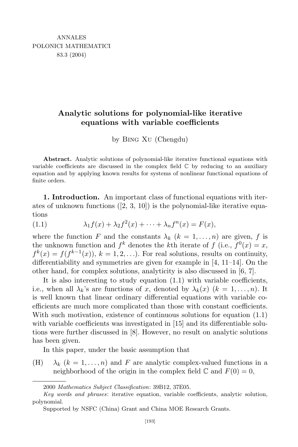## **Analytic solutions for polynomial-like iterative equations with variable coefficients**

by Bing Xu (Chengdu)

**Abstract.** Analytic solutions of polynomial-like iterative functional equations with variable coefficients are discussed in the complex field  $\mathbb C$  by reducing to an auxiliary equation and by applying known results for systems of nonlinear functional equations of finite orders.

**1. Introduction.** An important class of functional equations with iterates of unknown functions  $([2, 3, 10])$  is the polynomial-like iterative equations

(1.1) 
$$
\lambda_1 f(x) + \lambda_2 f^2(x) + \cdots + \lambda_n f^n(x) = F(x),
$$

where the function *F* and the constants  $\lambda_k$  ( $k = 1, \ldots, n$ ) are given, *f* is the unknown function and  $f^k$  denotes the *k*th iterate of  $f$  (i.e.,  $f^0(x) = x$ ,  $f^k(x) = f(f^{k-1}(x))$ ,  $k = 1, 2, \ldots$ ). For real solutions, results on continuity, differentiability and symmetries are given for example in [4, 11–14]. On the other hand, for complex solutions, analyticity is also discussed in [6, 7].

It is also interesting to study equation (1.1) with variable coefficients, i.e., when all  $\lambda_k$ 's are functions of *x*, denoted by  $\lambda_k(x)$  ( $k = 1, \ldots, n$ ). It is well known that linear ordinary differential equations with variable coefficients are much more complicated than those with constant coefficients. With such motivation, existence of continuous solutions for equation (1.1) with variable coefficients was investigated in [15] and its differentiable solutions were further discussed in [8]. However, no result on analytic solutions has been given.

In this paper, under the basic assumption that

(H)  $\lambda_k$  ( $k = 1, \ldots, n$ ) and *F* are analytic complex-valued functions in a neighborhood of the origin in the complex field  $\mathbb C$  and  $F(0) = 0$ ,

<sup>2000</sup> *Mathematics Subject Classification*: 39B12, 37E05.

*Key words and phrases*: iterative equation, variable coefficients, analytic solution, polynomial.

Supported by NSFC (China) Grant and China MOE Research Grants.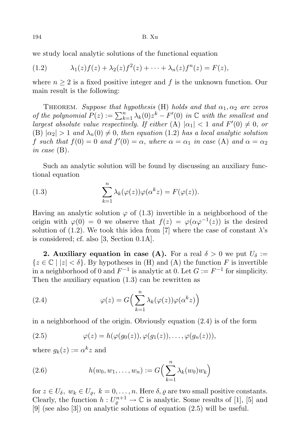we study local analytic solutions of the functional equation

(1.2) 
$$
\lambda_1(z)f(z) + \lambda_2(z)f^2(z) + \cdots + \lambda_n(z)f^n(z) = F(z),
$$

where  $n \geq 2$  is a fixed positive integer and f is the unknown function. Our main result is the following:

**THEOREM.** Suppose that hypothesis (H) holds and that  $\alpha_1, \alpha_2$  are zeros *of the polynomial*  $P(z) := \sum_{k=1}^{n} \lambda_k(0) z^k - F'(0)$  *in*  $\mathbb{C}$  *with the smallest and largest absolute value respectively. If either*  $(A)$   $|\alpha_1| < 1$  *and*  $F'(0) \neq 0$ , *or*  $(B)$   $\vert \alpha_2 \vert > 1$  *and*  $\lambda_n(0) \neq 0$ , *then equation* (1.2) *has a local analytic solution f* such that  $f(0) = 0$  and  $f'(0) = \alpha$ , where  $\alpha = \alpha_1$  in case (A) and  $\alpha = \alpha_2$ *in case* (B)*.*

Such an analytic solution will be found by discussing an auxiliary functional equation

(1.3) 
$$
\sum_{k=1}^{n} \lambda_k(\varphi(z))\varphi(\alpha^k z) = F(\varphi(z)).
$$

Having an analytic solution  $\varphi$  of (1.3) invertible in a neighborhood of the origin with  $\varphi(0) = 0$  we observe that  $f(z) = \varphi(\alpha \varphi^{-1}(z))$  is the desired solution of  $(1.2)$ . We took this idea from [7] where the case of constant  $\lambda$ 's is considered; cf. also [3, Section 0.1A].

**2. Auxiliary equation** in case (A). For a real  $\delta > 0$  we put  $U_{\delta}$  :=  $\{z \in \mathbb{C} \mid |z| < \delta\}$ . By hypotheses in (H) and (A) the function *F* is invertible in a neighborhood of 0 and  $F^{-1}$  is analytic at 0. Let  $G := F^{-1}$  for simplicity. Then the auxiliary equation (1.3) can be rewritten as

(2.4) 
$$
\varphi(z) = G\left(\sum_{k=1}^{n} \lambda_k(\varphi(z))\varphi(\alpha^k z)\right)
$$

in a neighborhood of the origin. Obviously equation (2.4) is of the form

(2.5) 
$$
\varphi(z) = h(\varphi(g_0(z)), \varphi(g_1(z)), \dots, \varphi(g_n(z))),
$$

where  $g_k(z) := \alpha^k z$  and

(2.6) 
$$
h(w_0, w_1, \dots, w_n) := G\left(\sum_{k=1}^n \lambda_k(w_0) w_k\right)
$$

for  $z \in U_{\delta}, w_k \in U_{\rho}, k = 0, \ldots, n$ . Here  $\delta, \rho$  are two small positive constants. Clearly, the function  $h: U_{\varrho}^{n+1} \to \mathbb{C}$  is analytic. Some results of [1], [5] and [9] (see also [3]) on analytic solutions of equation (2.5) will be useful.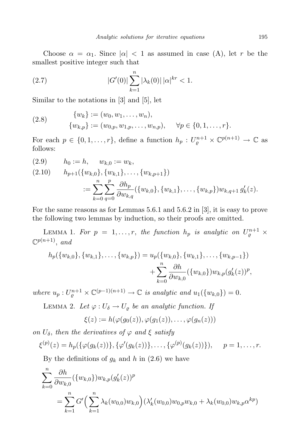Choose  $\alpha = \alpha_1$ . Since  $|\alpha| < 1$  as assumed in case (A), let *r* be the smallest positive integer such that

(2.7) 
$$
|G'(0)| \sum_{k=1}^{n} |\lambda_k(0)| |\alpha|^{kr} < 1.
$$

Similar to the notations in [3] and [5], let

(2.8) 
$$
\{w_k\} := (w_0, w_1, \dots, w_n), \n\{w_{k,p}\} := (w_{0,p}, w_{1,p}, \dots, w_{n,p}), \quad \forall p \in \{0, 1, \dots, r\}.
$$

For each  $p \in \{0, 1, \ldots, r\}$ , define a function  $h_p: U_{\varrho}^{n+1} \times \mathbb{C}^{p(n+1)} \to \mathbb{C}$  as follows:

$$
(2.9) \t h_0 := h, \t w_{k,0} := w_k,
$$
  
\n
$$
(2.10) \t h_{p+1}(\{w_{k,0}\}, \{w_{k,1}\}, \dots, \{w_{k,p+1}\})
$$
  
\n
$$
:= \sum_{k=0}^n \sum_{q=0}^p \frac{\partial h_p}{\partial w_{k,q}}(\{w_{k,0}\}, \{w_{k,1}\}, \dots, \{w_{k,p}\}) w_{k,q+1} g'_k(z).
$$

For the same reasons as for Lemmas 5.6.1 and 5.6.2 in [3], it is easy to prove the following two lemmas by induction, so their proofs are omitted.

LEMMA 1. For  $p = 1, \ldots, r$ , the function  $h_p$  is analytic on  $U_{\varrho}^{n+1} \times$  $\mathbb{C}^{p(n+1)}$ , and

$$
h_p(\{w_{k,0}\}, \{w_{k,1}\}, \ldots, \{w_{k,p}\}) = u_p(\{w_{k,0}\}, \{w_{k,1}\}, \ldots, \{w_{k,p-1}\})
$$
  

$$
+ \sum_{k=0}^n \frac{\partial h}{\partial w_{k,0}}(\{w_{k,0}\}) w_{k,p} (g'_k(z))^p,
$$

*where*  $u_p: U_{\varrho}^{n+1} \times \mathbb{C}^{(p-1)(n+1)} \to \mathbb{C}$  *is analytic and*  $u_1({w_{k,0}}) = 0$ *.* 

LEMMA 2. Let  $\varphi: U_{\delta} \to U_{\rho}$  be an analytic function. If

$$
\xi(z) := h(\varphi(g_0(z)), \varphi(g_1(z)), \ldots, \varphi(g_n(z)))
$$

*on*  $U_{\delta}$ , *then the derivatives of*  $\varphi$  *and*  $\xi$  *satisfy* 

$$
\xi^{(p)}(z) = h_p(\{\varphi(g_k(z))\}, \{\varphi'(g_k(z))\}, \ldots, \{\varphi^{(p)}(g_k(z))\}), \quad p = 1, \ldots, r.
$$

By the definitions of  $g_k$  and  $h$  in (2.6) we have

$$
\sum_{k=0}^{n} \frac{\partial h}{\partial w_{k,0}} (\{w_{k,0}\}) w_{k,p} (g'_k(z))^p
$$
  
= 
$$
\sum_{k=1}^{n} G' \Big( \sum_{k=1}^{n} \lambda_k (w_{0,0}) w_{k,0} \Big) (\lambda'_k (w_{0,0}) w_{0,p} w_{k,0} + \lambda_k (w_{0,0}) w_{k,p} \alpha^{kp})
$$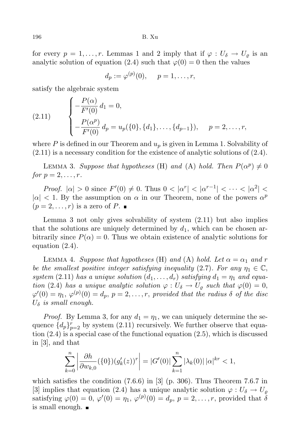for every  $p = 1, \ldots, r$ . Lemmas 1 and 2 imply that if  $\varphi : U_{\delta} \to U_{\delta}$  is an analytic solution of equation (2.4) such that  $\varphi(0) = 0$  then the values

$$
d_p := \varphi^{(p)}(0), \quad p = 1, \dots, r,
$$

satisfy the algebraic system

(2.11) 
$$
\begin{cases}\n-\frac{P(\alpha)}{F'(0)} d_1 = 0, \\
-\frac{P(\alpha^p)}{F'(0)} d_p = u_p(\{0\}, \{d_1\}, \dots, \{d_{p-1}\}), \quad p = 2, \dots, r,\n\end{cases}
$$

where  $P$  is defined in our Theorem and  $u_p$  is given in Lemma 1. Solvability of (2.11) is a necessary condition for the existence of analytic solutions of (2.4).

LEMMA 3. *Suppose that hypotheses* (H) *and* (A) *hold. Then*  $P(\alpha^p) \neq 0$ *for*  $p = 2, \ldots, r$ *.* 

*Proof.*  $|\alpha| > 0$  since  $F'(0) \neq 0$ . Thus  $0 < |\alpha^r| < |\alpha^{r-1}| < \cdots < |\alpha^2| <$  $|a| < 1$ . By the assumption on *α* in our Theorem, none of the powers  $\alpha^p$  $(p = 2, \ldots, r)$  is a zero of P.

Lemma 3 not only gives solvability of system (2.11) but also implies that the solutions are uniquely determined by  $d_1$ , which can be chosen arbitrarily since  $P(\alpha) = 0$ . Thus we obtain existence of analytic solutions for equation (2.4).

LEMMA 4. *Suppose that hypotheses* (H) *and* (A) *hold.* Let  $\alpha = \alpha_1$  *and*  $r$ *be the smallest positive integer satisfying inequality* (2.7)*. For any*  $\eta_1 \in \mathbb{C}$ , *system* (2.11) *has a unique solution*  $(d_1, \ldots, d_r)$  *satisfying*  $d_1 = \eta_1$  *and equation* (2.4) *has a unique analytic solution*  $\varphi : U_{\delta} \to U_{\rho}$  *such that*  $\varphi(0) = 0$ ,  $\varphi'(0) = \eta_1, \, \varphi^{(p)}(0) = d_p, \, p = 2, \ldots, r, \, \hbox{\it provided that the radius $\delta$ of the disc}$ *U<sup>δ</sup> is small enough.*

*Proof.* By Lemma 3, for any  $d_1 = \eta_1$ , we can uniquely determine the sequence  ${d_p}_{p=2}^r$  by system (2.11) recursively. We further observe that equation (2.4) is a special case of the functional equation (2.5), which is discussed in [3], and that

$$
\sum_{k=0}^{n} \left| \frac{\partial h}{\partial w_{k,0}} (\{0\}) (g'_k(z))^r \right| = |G'(0)| \sum_{k=1}^{n} |\lambda_k(0)| |\alpha|^{kr} < 1,
$$

which satisfies the condition  $(7.6.6)$  in [3] (p. 306). Thus Theorem 7.6.7 in [3] implies that equation (2.4) has a unique analytic solution  $\varphi : U_{\delta} \to U_{\rho}$ satisfying  $\varphi(0) = 0$ ,  $\varphi'(0) = \eta_1$ ,  $\varphi^{(p)}(0) = d_p$ ,  $p = 2, \ldots, r$ , provided that  $\delta$ is small enough.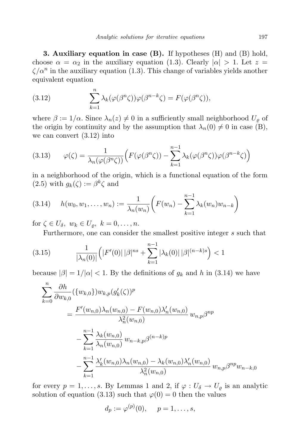**3. Auxiliary equation in case (B).** If hypotheses (H) and (B) hold, choose  $\alpha = \alpha_2$  in the auxiliary equation (1.3). Clearly  $|\alpha| > 1$ . Let  $z =$  $\zeta/\alpha^n$  in the auxiliary equation (1.3). This change of variables yields another equivalent equation

(3.12) 
$$
\sum_{k=1}^{n} \lambda_k(\varphi(\beta^n \zeta))\varphi(\beta^{n-k}\zeta) = F(\varphi(\beta^n \zeta)),
$$

where  $\beta := 1/\alpha$ . Since  $\lambda_n(z) \neq 0$  in a sufficiently small neighborhood  $U_\rho$  of the origin by continuity and by the assumption that  $\lambda_n(0) \neq 0$  in case (B), we can convert (3.12) into

(3.13) 
$$
\varphi(\zeta) = \frac{1}{\lambda_n(\varphi(\beta^n\zeta))} \Big( F(\varphi(\beta^n\zeta)) - \sum_{k=1}^{n-1} \lambda_k(\varphi(\beta^n\zeta)) \varphi(\beta^{n-k}\zeta) \Big)
$$

in a neighborhood of the origin, which is a functional equation of the form  $(2.5)$  with  $g_k(\zeta) := \beta^k \zeta$  and

$$
(3.14) \quad h(w_0, w_1, \dots, w_n) := \frac{1}{\lambda_n(w_n)} \bigg( F(w_n) - \sum_{k=1}^{n-1} \lambda_k(w_n) w_{n-k} \bigg)
$$

for  $\zeta \in U_{\delta}, w_k \in U_{\varrho}, k = 0, \ldots, n$ .

Furthermore, one can consider the smallest positive integer *s* such that

$$
(3.15) \qquad \frac{1}{|\lambda_n(0)|} \left( |F'(0)| \, |\beta|^{ns} + \sum_{k=1}^{n-1} |\lambda_k(0)| \, |\beta|^{(n-k)s} \right) < 1
$$

because  $|\beta| = 1/|\alpha| < 1$ . By the definitions of  $g_k$  and *h* in (3.14) we have

$$
\sum_{k=0}^{n} \frac{\partial h}{\partial w_{k,0}} (\{w_{k,0}\}) w_{k,p} (g'_k(\zeta))^p
$$
\n
$$
= \frac{F'(w_{n,0}) \lambda_n (w_{n,0}) - F(w_{n,0}) \lambda_n'(w_{n,0})}{\lambda_n^2 (w_{n,0})} w_{n,p} \beta^{np}
$$
\n
$$
- \sum_{k=1}^{n-1} \frac{\lambda_k (w_{n,0})}{\lambda_n (w_{n,0})} w_{n-k,p} \beta^{(n-k)p}
$$
\n
$$
- \sum_{k=1}^{n-1} \frac{\lambda_k'(w_{n,0}) \lambda_n (w_{n,0}) - \lambda_k (w_{n,0}) \lambda_n'(w_{n,0})}{\lambda_n^2 (w_{n,0})} w_{n,p} \beta^{np} w_{n-k,0}
$$

for every  $p = 1, \ldots, s$ . By Lemmas 1 and 2, if  $\varphi : U_{\delta} \to U_{\rho}$  is an analytic solution of equation (3.13) such that  $\varphi(0) = 0$  then the values

$$
d_p := \varphi^{(p)}(0), \quad p = 1, \dots, s,
$$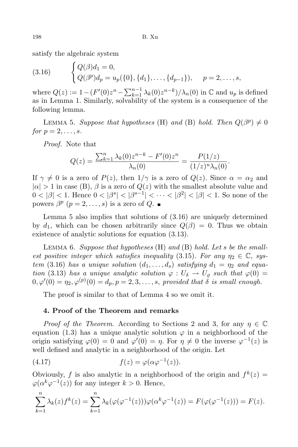satisfy the algebraic system

(3.16) 
$$
\begin{cases} Q(\beta)d_1 = 0, \\ Q(\beta^p)d_p = u_p(\{0\}, \{d_1\}, \dots, \{d_{p-1}\}), \quad p = 2, \dots, s, \end{cases}
$$

where  $Q(z) := 1 - (F'(0)z^{n} - \sum_{k=1}^{n-1} \lambda_k(0)z^{n-k})/\lambda_n(0)$  in  $\mathbb{C}$  and  $u_p$  is defined as in Lemma 1. Similarly, solvability of the system is a consequence of the following lemma.

LEMMA 5. *Suppose that hypotheses* (H) *and* (B) *hold. Then*  $Q(\beta^p) \neq 0$ *for*  $p = 2, \ldots, s$ *.* 

*Proof.* Note that

$$
Q(z) = \frac{\sum_{k=1}^{n} \lambda_k(0) z^{n-k} - F'(0) z^n}{\lambda_n(0)} = \frac{P(1/z)}{(1/z)^n \lambda_n(0)}.
$$

If  $\gamma \neq 0$  is a zero of  $P(z)$ , then  $1/\gamma$  is a zero of  $Q(z)$ . Since  $\alpha = \alpha_2$  and  $| \alpha | > 1$  in case (B),  $\beta$  is a zero of  $Q(z)$  with the smallest absolute value and  $0 < |\beta| < 1$ . Hence  $0 < |\beta^{s}| < |\beta^{s-1}| < \cdots < |\beta^{2}| < |\beta| < 1$ . So none of the powers  $\beta^p$   $(p = 2, \ldots, s)$  is a zero of  $Q$ .

Lemma 5 also implies that solutions of (3.16) are uniquely determined by  $d_1$ , which can be chosen arbitrarily since  $Q(\beta) = 0$ . Thus we obtain existence of analytic solutions for equation (3.13).

Lemma 6. *Suppose that hypotheses* (H) *and* (B) *hold. Let s be the smallest positive integer which satisfies inequality* (3.15)*. For any*  $\eta_2 \in \mathbb{C}$ , *system* (3.16) *has a unique solution*  $(d_1, \ldots, d_s)$  *satisfying*  $d_1 = \eta_2$  *and equation* (3.13) *has a unique analytic solution*  $\varphi : U_{\delta} \to U_{\varrho}$  *such that*  $\varphi(0) =$  $0, \varphi'(0) = \eta_2, \varphi^{(p)}(0) = d_p, p = 2, 3, \ldots, s$ , provided that  $\delta$  is small enough.

The proof is similar to that of Lemma 4 so we omit it.

## **4. Proof of the Theorem and remarks**

*Proof of the Theorem.* According to Sections 2 and 3, for any  $\eta \in \mathbb{C}$ equation  $(1.3)$  has a unique analytic solution  $\varphi$  in a neighborhood of the origin satisfying  $\varphi(0) = 0$  and  $\varphi'(0) = \eta$ . For  $\eta \neq 0$  the inverse  $\varphi^{-1}(z)$  is well defined and analytic in a neighborhood of the origin. Let

(4.17) 
$$
f(z) = \varphi(\alpha \varphi^{-1}(z)).
$$

Obviously, *f* is also analytic in a neighborhood of the origin and  $f^k(z) =$  $\varphi(\alpha^k \varphi^{-1}(z))$  for any integer  $k > 0$ . Hence,

$$
\sum_{k=1}^{n} \lambda_k(z) f^k(z) = \sum_{k=1}^{n} \lambda_k(\varphi(\varphi^{-1}(z))) \varphi(\alpha^k \varphi^{-1}(z)) = F(\varphi(\varphi^{-1}(z))) = F(z).
$$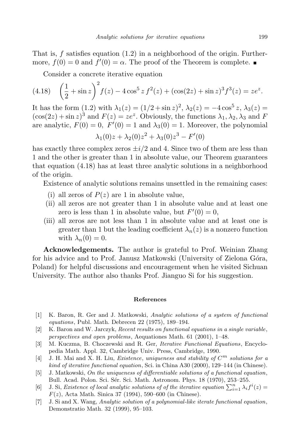That is, *f* satisfies equation (1.2) in a neighborhood of the origin. Furthermore,  $f(0) = 0$  and  $f'(0) = \alpha$ . The proof of the Theorem is complete.

Consider a concrete iterative equation

(4.18) 
$$
\left(\frac{1}{2} + \sin z\right)^2 f(z) - 4\cos^5 z f^2(z) + (\cos(2z) + \sin z)^3 f^3(z) = ze^z.
$$

It has the form (1.2) with  $\lambda_1(z) = (1/2 + \sin z)^2$ ,  $\lambda_2(z) = -4 \cos^5 z$ ,  $\lambda_3(z) =$  $(\cos(2z) + \sin z)^3$  and  $F(z) = ze^z$ . Obviously, the functions  $\lambda_1, \lambda_2, \lambda_3$  and *F* are analytic,  $F(0) = 0$ ,  $F'(0) = 1$  and  $\lambda_3(0) = 1$ . Moreover, the polynomial

$$
\lambda_1(0)z + \lambda_2(0)z^2 + \lambda_3(0)z^3 - F'(0)
$$

has exactly three complex zeros  $\pm i/2$  and 4. Since two of them are less than 1 and the other is greater than 1 in absolute value, our Theorem guarantees that equation (4.18) has at least three analytic solutions in a neighborhood of the origin.

Existence of analytic solutions remains unsettled in the remaining cases:

- (i) all zeros of  $P(z)$  are 1 in absolute value,
- (ii) all zeros are not greater than 1 in absolute value and at least one zero is less than 1 in absolute value, but  $F'(0) = 0$ ,
- (iii) all zeros are not less than 1 in absolute value and at least one is greater than 1 but the leading coefficient  $\lambda_n(z)$  is a nonzero function with  $\lambda_n(0) = 0$ .

**Acknowledgements.** The author is grateful to Prof. Weinian Zhang for his advice and to Prof. Janusz Matkowski (University of Zielona Góra, Poland) for helpful discussions and encouragement when he visited Sichuan University. The author also thanks Prof. Jianguo Si for his suggestion.

## **References**

- [1] K. Baron, R. Ger and J. Matkowski, *Analytic solutions of a system of functional equations*, Publ. Math. Debrecen 22 (1975), 189–194.
- [2] K. Baron and W. Jarczyk, *Recent results on functional equations in a single variable*, *perspectives and open problems*, Aequationes Math. 61 (2001), 1–48.
- [3] M. Kuczma, B. Choczewski and R. Ger, *Iterative Functional Equations*, Encyclopedia Math. Appl. 32, Cambridge Univ. Press, Cambridge, 1990.
- [4] J. H. Mai and X. H. Liu, *Existence*, *uniqueness* and *stability* of  $C^m$  *solutions* for a *kind of iterative functional equation*, Sci. in China A30 (2000), 129–144 (in Chinese).
- [5] J. Matkowski, *On the uniqueness of differentiable solutions of a functional equation*, Bull. Acad. Polon. Sci. Sér. Sci. Math. Astronom. Phys. 18 (1970), 253-255.
- $[6]$  J. Si, *Existence of local analytic solutions of of the iterative equation*  $\sum_{i=1}^{n} \lambda_i f^i(z) =$ *F*(*z*), Acta Math. Sinica 37 (1994), 590–600 (in Chinese).
- [7] J. Si and X. Wang, *Analytic solution of a polynomial-like iterate functional equation*, Demonstratio Math. 32 (1999), 95–103.